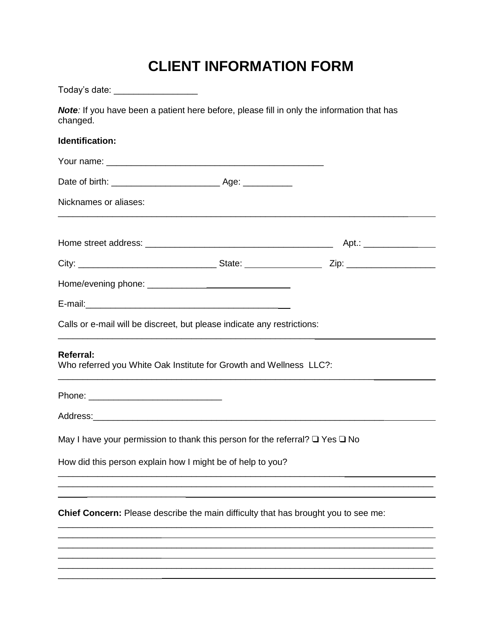# **CLIENT INFORMATION FORM**

| Today's date: ___________________                                                                      |  |  |  |  |
|--------------------------------------------------------------------------------------------------------|--|--|--|--|
| Note: If you have been a patient here before, please fill in only the information that has<br>changed. |  |  |  |  |
| Identification:                                                                                        |  |  |  |  |
|                                                                                                        |  |  |  |  |
|                                                                                                        |  |  |  |  |
| Nicknames or aliases:                                                                                  |  |  |  |  |
|                                                                                                        |  |  |  |  |
|                                                                                                        |  |  |  |  |
|                                                                                                        |  |  |  |  |
|                                                                                                        |  |  |  |  |
| Calls or e-mail will be discreet, but please indicate any restrictions:                                |  |  |  |  |
| <b>Referral:</b><br>Who referred you White Oak Institute for Growth and Wellness LLC?:                 |  |  |  |  |
|                                                                                                        |  |  |  |  |
|                                                                                                        |  |  |  |  |
| May I have your permission to thank this person for the referral? $\square$ Yes $\square$ No           |  |  |  |  |
| How did this person explain how I might be of help to you?                                             |  |  |  |  |
|                                                                                                        |  |  |  |  |
| Chief Concern: Please describe the main difficulty that has brought you to see me:                     |  |  |  |  |
|                                                                                                        |  |  |  |  |
|                                                                                                        |  |  |  |  |
|                                                                                                        |  |  |  |  |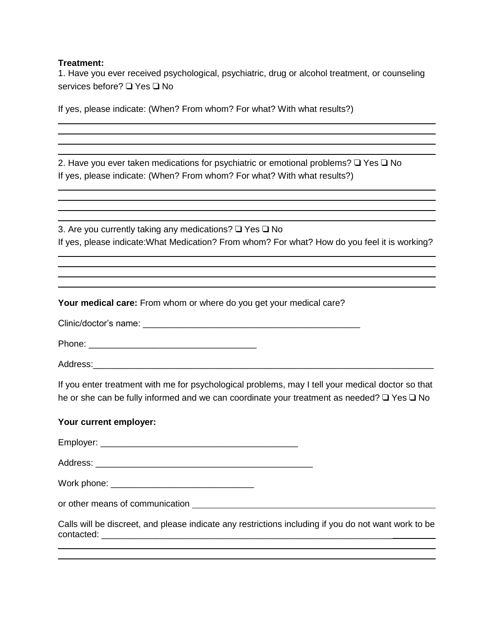## **Treatment:**

1. Have you ever received psychological, psychiatric, drug or alcohol treatment, or counseling services before? ❑ Yes ❑ No

If yes, please indicate: (When? From whom? For what? With what results?)

2. Have you ever taken medications for psychiatric or emotional problems? ❑ Yes ❑ No If yes, please indicate: (When? From whom? For what? With what results?)

3. Are you currently taking any medications? ❑ Yes ❑ No If yes, please indicate:What Medication? From whom? For what? How do you feel it is working?

**Your medical care:** From whom or where do you get your medical care?

Clinic/doctor's name: \_\_\_\_\_\_\_\_\_\_\_\_\_\_\_\_\_\_\_\_\_\_\_\_\_\_\_\_\_\_\_\_\_\_\_\_\_\_\_\_\_\_\_\_

Phone: \_\_\_\_\_\_\_\_\_\_\_\_\_\_\_\_\_\_\_\_\_\_\_\_\_\_\_\_\_\_\_\_\_\_

Address:

If you enter treatment with me for psychological problems, may I tell your medical doctor so that he or she can be fully informed and we can coordinate your treatment as needed? □ Yes □ No

# **Your current employer:**

Employer: \_\_\_\_\_\_\_\_\_\_\_\_\_\_\_\_\_\_\_\_\_\_\_\_\_\_\_\_\_\_\_\_\_\_\_\_\_\_\_\_

Address: \_\_\_\_\_\_\_\_\_\_\_\_\_\_\_\_\_\_\_\_\_\_\_\_\_\_\_\_\_\_\_\_\_\_\_\_\_\_\_\_\_\_\_\_

Work phone:  $\blacksquare$ 

or other means of communication

Calls will be discreet, and please indicate any restrictions including if you do not want work to be contacted: \_\_\_\_\_\_\_\_\_\_\_\_\_\_\_\_\_\_\_\_\_\_\_\_\_\_\_\_\_\_\_\_\_\_\_\_\_\_\_\_\_\_\_\_\_\_\_\_\_\_\_\_\_\_\_\_\_\_\_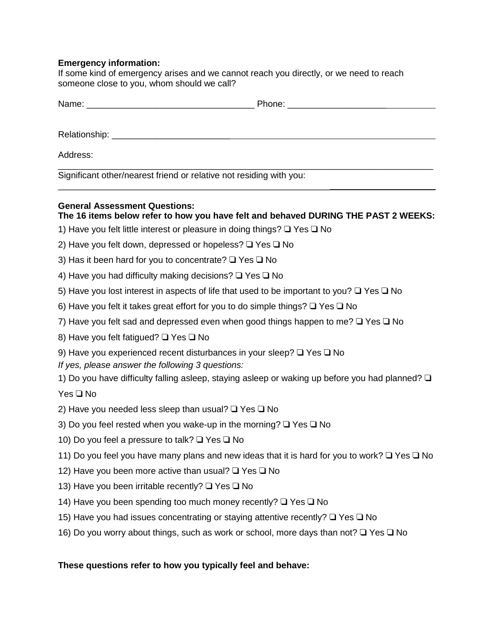## **Emergency information:**

If some kind of emergency arises and we cannot reach you directly, or we need to reach someone close to you, whom should we call?

| N:                            |                  |
|-------------------------------|------------------|
| . . <b>. .</b> . <sub>.</sub> |                  |
| _______________               | ________________ |
|                               |                  |

Relationship: \_\_\_\_\_\_\_\_\_\_\_\_\_\_\_\_\_\_\_\_\_\_\_\_

Address:

Significant other/nearest friend or relative not residing with you:

## **General Assessment Questions:**

# **The 16 items below refer to how you have felt and behaved DURING THE PAST 2 WEEKS:**

\_\_\_\_\_\_\_\_\_\_\_\_\_\_\_\_\_\_\_\_\_\_\_\_\_\_\_\_\_\_\_\_\_\_\_\_\_\_\_\_\_\_\_\_\_\_\_\_\_\_\_\_\_\_\_\_\_\_\_\_\_\_\_\_\_\_\_\_\_\_\_\_\_\_\_\_

1) Have you felt little interest or pleasure in doing things? ❑ Yes ❑ No

\_\_\_\_\_\_\_\_\_\_\_\_\_\_\_\_\_\_\_\_\_\_\_\_\_\_\_\_\_\_\_\_\_\_\_\_\_\_\_\_\_\_\_\_\_\_\_\_\_\_\_\_\_\_\_

- 2) Have you felt down, depressed or hopeless? ❑ Yes ❑ No
- 3) Has it been hard for you to concentrate? ❑ Yes ❑ No
- 4) Have you had difficulty making decisions? ❑ Yes ❑ No
- 5) Have you lost interest in aspects of life that used to be important to you? ❑ Yes ❑ No
- 6) Have you felt it takes great effort for you to do simple things? ❑ Yes ❑ No
- 7) Have you felt sad and depressed even when good things happen to me? ❑ Yes ❑ No
- 8) Have you felt fatigued? ❑ Yes ❑ No
- 9) Have you experienced recent disturbances in your sleep? ❑ Yes ❑ No
- *If yes, please answer the following 3 questions:*
- 1) Do you have difficulty falling asleep, staying asleep or waking up before you had planned? ❑

Yes ❑ No

- 2) Have you needed less sleep than usual? ❑ Yes ❑ No
- 3) Do you feel rested when you wake-up in the morning? ❑ Yes ❑ No
- 10) Do you feel a pressure to talk? ❑ Yes ❑ No
- 11) Do you feel you have many plans and new ideas that it is hard for you to work? ❑ Yes ❑ No
- 12) Have you been more active than usual? ❑ Yes ❑ No
- 13) Have you been irritable recently? ❑ Yes ❑ No
- 14) Have you been spending too much money recently? ❑ Yes ❑ No
- 15) Have you had issues concentrating or staying attentive recently? ❑ Yes ❑ No
- 16) Do you worry about things, such as work or school, more days than not? ❑ Yes ❑ No

# **These questions refer to how you typically feel and behave:**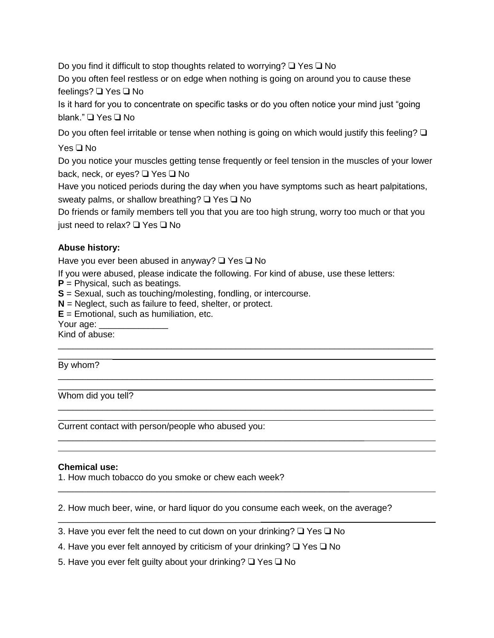Do you find it difficult to stop thoughts related to worrying? ❑ Yes ❑ No

Do you often feel restless or on edge when nothing is going on around you to cause these feelings? ❑ Yes ❑ No

Is it hard for you to concentrate on specific tasks or do you often notice your mind just "going blank." ❑ Yes ❑ No

Do you often feel irritable or tense when nothing is going on which would justify this feeling? ❑

Yes ❑ No

Do you notice your muscles getting tense frequently or feel tension in the muscles of your lower back, neck, or eyes? ❑ Yes ❑ No

Have you noticed periods during the day when you have symptoms such as heart palpitations, sweaty palms, or shallow breathing? **□** Yes **□** No

Do friends or family members tell you that you are too high strung, worry too much or that you just need to relax? ❑ Yes ❑ No

\_\_\_\_\_\_\_\_\_\_\_\_\_\_\_\_\_\_\_\_\_\_\_\_\_\_\_\_\_\_\_\_\_\_\_\_\_\_\_\_\_\_\_\_\_\_\_\_\_\_\_\_\_\_\_\_\_\_\_\_\_\_\_\_\_\_\_\_\_\_\_\_\_\_\_\_

\_\_\_\_\_\_\_\_\_\_\_\_\_\_\_\_\_\_\_\_\_\_\_\_\_\_\_\_\_\_\_\_\_\_\_\_\_\_\_\_\_\_\_\_\_\_\_\_\_\_\_\_\_\_\_\_\_\_\_\_\_\_\_\_\_\_\_\_\_\_\_\_\_\_\_\_

\_\_\_\_\_\_\_\_\_\_\_\_\_\_\_\_\_\_\_\_\_\_\_\_\_\_\_\_\_\_\_\_\_\_\_\_\_\_\_\_\_\_\_\_\_\_\_\_\_\_\_\_\_\_\_\_\_\_\_\_\_\_\_\_\_\_\_\_\_\_\_\_\_\_\_\_

# **Abuse history:**

Have you ever been abused in anyway? ❑ Yes ❑ No

If you were abused, please indicate the following. For kind of abuse, use these letters:

**P** = Physical, such as beatings.

**S** = Sexual, such as touching/molesting, fondling, or intercourse.

**N** = Neglect, such as failure to feed, shelter, or protect.

**E** = Emotional, such as humiliation, etc.

Your age:

Kind of abuse:

\_\_\_\_\_\_\_\_\_\_\_

By whom?

\_\_\_\_\_\_\_\_\_

\_\_\_\_\_\_\_\_\_\_\_\_\_\_ Whom did you tell?

Current contact with person/people who abused you:

# **Chemical use:**

1. How much tobacco do you smoke or chew each week?

\_\_\_\_\_\_\_\_\_\_\_\_\_\_\_\_\_\_\_\_\_\_\_\_\_\_\_\_\_\_\_\_\_\_\_\_\_\_\_\_\_

2. How much beer, wine, or hard liquor do you consume each week, on the average?

3. Have you ever felt the need to cut down on your drinking? ❑ Yes ❑ No

\_\_\_\_\_\_\_\_\_\_\_\_\_\_\_\_\_\_\_\_\_\_\_\_\_\_\_\_\_\_\_\_\_\_\_\_\_\_\_\_\_\_\_\_\_\_\_\_\_\_\_\_\_\_\_\_\_\_\_

\_\_\_\_\_\_\_\_\_\_\_\_\_\_\_\_\_\_\_\_\_\_\_\_\_\_\_\_\_\_\_\_\_\_\_\_\_\_\_\_\_\_\_\_\_\_\_\_\_\_\_\_\_\_\_\_\_\_\_\_\_\_

4. Have you ever felt annoyed by criticism of your drinking?  $\Box$  Yes  $\Box$  No

5. Have you ever felt guilty about your drinking? ❑ Yes ❑ No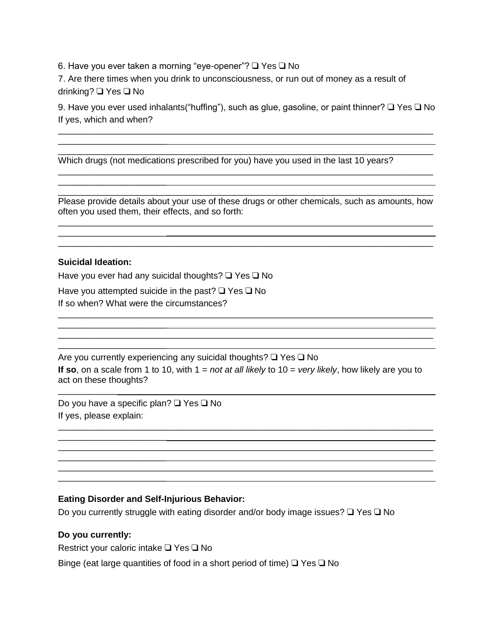6. Have you ever taken a morning "eye-opener"? ❑ Yes ❑ No

7. Are there times when you drink to unconsciousness, or run out of money as a result of drinking? ❑ Yes ❑ No

9. Have you ever used inhalants("huffing"), such as glue, gasoline, or paint thinner? ❑ Yes ❑ No If yes, which and when?

\_\_\_\_\_\_\_\_\_\_\_\_\_\_\_\_\_\_\_\_\_\_\_\_\_\_\_\_\_\_\_\_\_\_\_\_\_\_\_\_\_\_\_\_\_\_\_\_\_\_\_\_\_\_\_\_\_\_\_\_\_\_\_\_\_\_\_\_\_\_\_\_\_\_\_\_

\_\_\_\_\_\_\_\_\_\_\_\_\_\_\_\_\_\_\_\_\_\_\_\_\_\_\_\_\_\_\_\_\_\_\_\_\_\_\_\_\_\_\_\_\_\_\_\_\_\_\_\_\_\_\_\_\_\_\_\_\_\_\_\_\_\_\_\_\_\_\_\_\_\_\_\_

\_\_\_\_\_\_\_\_\_\_\_\_\_\_\_\_\_\_\_\_\_\_\_\_\_\_\_\_\_\_\_\_\_\_\_\_\_\_\_\_\_\_\_\_\_\_\_\_\_\_\_\_\_\_\_\_\_\_\_\_\_\_\_\_\_\_\_\_\_\_\_\_\_\_\_\_

Which drugs (not medications prescribed for you) have you used in the last 10 years?

\_\_\_\_\_\_\_\_\_\_\_\_\_\_\_\_\_\_\_\_\_\_\_\_\_\_\_\_\_\_\_\_\_\_\_\_\_\_\_\_\_\_\_\_\_\_\_\_\_\_\_\_\_\_\_\_\_\_\_\_\_\_\_\_\_\_\_\_\_\_\_\_\_\_\_\_ Please provide details about your use of these drugs or other chemicals, such as amounts, how often you used them, their effects, and so forth: \_\_\_\_\_\_\_\_\_\_\_\_\_\_\_\_\_\_\_\_\_\_\_\_\_\_\_\_\_\_\_\_\_\_\_\_\_\_\_\_\_\_\_\_\_\_\_\_\_\_\_\_\_\_\_\_\_\_\_\_\_\_\_\_\_\_\_\_\_\_\_\_\_\_\_\_

\_\_\_\_\_\_\_\_\_\_\_\_\_\_\_\_\_\_\_\_\_\_\_\_\_\_\_\_\_\_\_\_\_\_\_\_\_\_\_\_\_\_\_\_\_\_\_\_\_\_\_\_\_\_\_\_\_\_\_\_\_\_\_\_\_\_\_\_\_\_\_\_\_\_\_\_

\_\_\_\_\_\_\_\_\_\_\_\_\_\_\_\_\_\_\_\_\_\_\_\_\_\_\_\_\_\_\_\_\_\_\_\_\_\_\_\_\_\_\_\_\_\_\_\_\_\_\_\_\_\_\_\_\_\_\_\_\_\_\_\_\_\_\_\_\_\_\_\_\_\_\_\_

\_\_\_\_\_\_\_\_\_\_\_\_\_\_\_\_\_\_\_\_\_\_\_\_\_\_\_\_\_\_\_\_\_\_\_\_\_\_\_\_\_\_\_\_\_\_\_\_\_\_\_\_\_\_\_\_\_\_\_\_\_\_\_\_\_\_\_\_\_\_\_\_\_\_\_\_

### **Suicidal Ideation:**

\_\_\_\_\_\_\_\_\_\_\_\_

\_\_\_\_\_\_\_\_\_\_\_\_\_\_\_\_\_\_\_\_\_\_

\_\_\_\_\_\_\_\_\_\_\_\_\_\_\_\_\_\_\_\_\_\_

\_\_\_\_\_\_\_\_\_\_\_\_\_\_\_\_\_\_\_\_\_\_

\_\_\_\_\_\_\_\_\_\_\_\_\_\_\_\_\_\_\_\_\_\_

\_\_\_\_\_\_\_\_\_\_\_\_\_\_\_\_\_\_\_\_\_\_

\_\_\_\_\_\_\_\_\_\_\_\_\_\_\_\_\_\_\_\_\_\_

\_\_\_\_\_\_\_\_\_\_\_\_\_\_\_\_\_\_\_\_\_\_

\_\_\_\_\_\_\_\_\_\_\_\_\_\_\_\_\_\_\_\_\_\_

Have you ever had any suicidal thoughts? ❑ Yes ❑ No

Have you attempted suicide in the past? ❑ Yes ❑ No If so when? What were the circumstances?

Are you currently experiencing any suicidal thoughts? ❑ Yes ❑ No **If so**, on a scale from 1 to 10, with 1 = *not at all likely* to 10 = *very likely*, how likely are you to act on these thoughts?

\_\_\_\_\_\_\_\_\_\_\_\_\_\_\_\_\_\_\_\_\_\_\_\_\_\_\_\_\_\_\_\_\_\_\_\_\_\_\_\_\_\_\_\_\_\_\_\_\_\_\_\_\_\_\_\_\_\_\_\_\_\_\_\_\_\_\_\_\_\_\_\_\_\_\_\_

\_\_\_\_\_\_\_\_\_\_\_\_\_\_\_\_\_\_\_\_\_\_\_\_\_\_\_\_\_\_\_\_\_\_\_\_\_\_\_\_\_\_\_\_\_\_\_\_\_\_\_\_\_\_\_\_\_\_\_\_\_\_\_\_\_\_\_\_\_\_\_\_\_\_\_\_

\_\_\_\_\_\_\_\_\_\_\_\_\_\_\_\_\_\_\_\_\_\_\_\_\_\_\_\_\_\_\_\_\_\_\_\_\_\_\_\_\_\_\_\_\_\_\_\_\_\_\_\_\_\_\_\_\_\_\_\_\_\_\_\_\_\_\_\_\_\_\_\_\_\_\_\_

Do you have a specific plan? ❑ Yes ❑ No If yes, please explain:

# **Eating Disorder and Self-Injurious Behavior:**

Do you currently struggle with eating disorder and/or body image issues? ❑ Yes ❑ No

### **Do you currently:**

Restrict your caloric intake ❑ Yes ❑ No

Binge (eat large quantities of food in a short period of time) ❑ Yes ❑ No